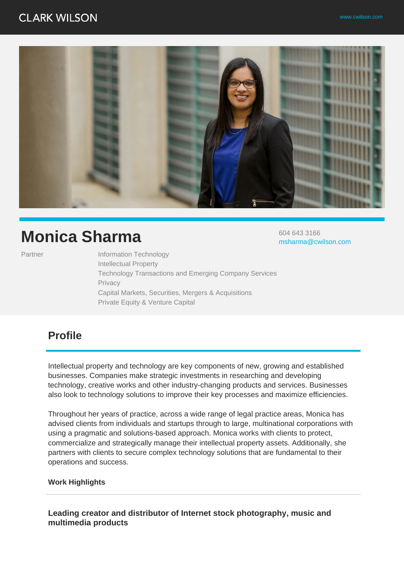# **CLARK WILSON**

604 643 3166

msharma@cwilson.com



# **Monica Sharma**

Partner Information Technology Intellectual Property Technology Transactions and Emerging Company Services Privacy Capital Markets, Securities, Mergers & Acquisitions Private Equity & Venture Capital

# **Profile**

Intellectual property and technology are key components of new, growing and established businesses. Companies make strategic investments in researching and developing technology, creative works and other industry-changing products and services. Businesses also look to technology solutions to improve their key processes and maximize efficiencies.

Throughout her years of practice, across a wide range of legal practice areas, Monica has advised clients from individuals and startups through to large, multinational corporations with using a pragmatic and solutions-based approach. Monica works with clients to protect, commercialize and strategically manage their intellectual property assets. Additionally, she partners with clients to secure complex technology solutions that are fundamental to their operations and success.

#### **Work Highlights**

**Leading creator and distributor of Internet stock photography, music and multimedia products**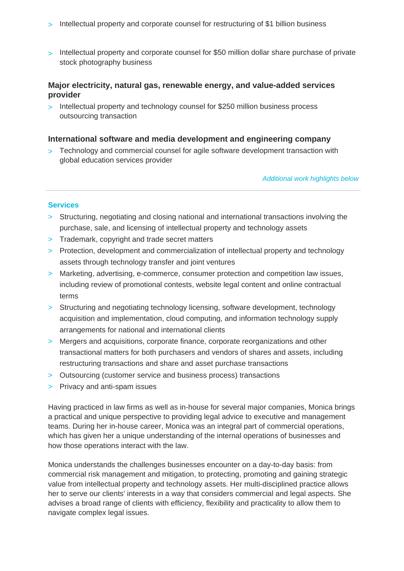- > Intellectual property and corporate counsel for restructuring of \$1 billion business
- > Intellectual property and corporate counsel for \$50 million dollar share purchase of private stock photography business

# **Major electricity, natural gas, renewable energy, and value-added services provider**

> Intellectual property and technology counsel for \$250 million business process outsourcing transaction

#### **International software and media development and engineering company**

> Technology and commercial counsel for agile software development transaction with global education services provider

Additional work highlights below

#### **Services**

- > Structuring, negotiating and closing national and international transactions involving the purchase, sale, and licensing of intellectual property and technology assets
- > Trademark, copyright and trade secret matters
- > Protection, development and commercialization of intellectual property and technology assets through technology transfer and joint ventures
- > Marketing, advertising, e-commerce, consumer protection and competition law issues, including review of promotional contests, website legal content and online contractual terms
- > Structuring and negotiating technology licensing, software development, technology acquisition and implementation, cloud computing, and information technology supply arrangements for national and international clients
- > Mergers and acquisitions, corporate finance, corporate reorganizations and other transactional matters for both purchasers and vendors of shares and assets, including restructuring transactions and share and asset purchase transactions
- > Outsourcing (customer service and business process) transactions
- > Privacy and anti-spam issues

Having practiced in law firms as well as in-house for several major companies, Monica brings a practical and unique perspective to providing legal advice to executive and management teams. During her in-house career, Monica was an integral part of commercial operations, which has given her a unique understanding of the internal operations of businesses and how those operations interact with the law.

Monica understands the challenges businesses encounter on a day-to-day basis: from commercial risk management and mitigation, to protecting, promoting and gaining strategic value from intellectual property and technology assets. Her multi-disciplined practice allows her to serve our clients' interests in a way that considers commercial and legal aspects. She advises a broad range of clients with efficiency, flexibility and practicality to allow them to navigate complex legal issues.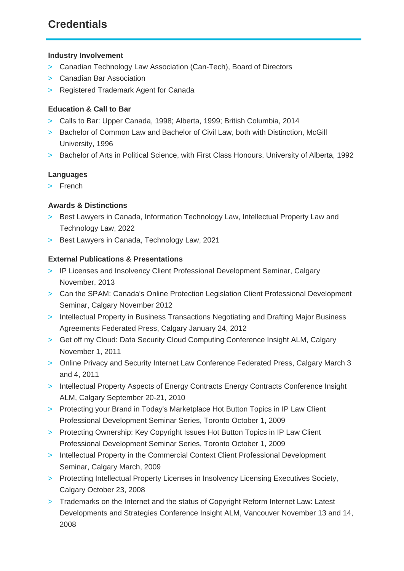# **Credentials**

# **Industry Involvement**

- > Canadian Technology Law Association (Can-Tech), Board of Directors
- > Canadian Bar Association
- > Registered Trademark Agent for Canada

# **Education & Call to Bar**

- > Calls to Bar: Upper Canada, 1998; Alberta, 1999; British Columbia, 2014
- > Bachelor of Common Law and Bachelor of Civil Law, both with Distinction, McGill University, 1996
- > Bachelor of Arts in Political Science, with First Class Honours, University of Alberta, 1992

# **Languages**

> French

# **Awards & Distinctions**

- > Best Lawyers in Canada, Information Technology Law, Intellectual Property Law and Technology Law, 2022
- > Best Lawyers in Canada, Technology Law, 2021

# **External Publications & Presentations**

- > IP Licenses and Insolvency Client Professional Development Seminar, Calgary November, 2013
- > Can the SPAM: Canada's Online Protection Legislation Client Professional Development Seminar, Calgary November 2012
- > Intellectual Property in Business Transactions Negotiating and Drafting Major Business Agreements Federated Press, Calgary January 24, 2012
- > Get off my Cloud: Data Security Cloud Computing Conference Insight ALM, Calgary November 1, 2011
- > Online Privacy and Security Internet Law Conference Federated Press, Calgary March 3 and 4, 2011
- > Intellectual Property Aspects of Energy Contracts Energy Contracts Conference Insight ALM, Calgary September 20-21, 2010
- > Protecting your Brand in Today's Marketplace Hot Button Topics in IP Law Client Professional Development Seminar Series, Toronto October 1, 2009
- > Protecting Ownership: Key Copyright Issues Hot Button Topics in IP Law Client Professional Development Seminar Series, Toronto October 1, 2009
- > Intellectual Property in the Commercial Context Client Professional Development Seminar, Calgary March, 2009
- > Protecting Intellectual Property Licenses in Insolvency Licensing Executives Society, Calgary October 23, 2008
- > Trademarks on the Internet and the status of Copyright Reform Internet Law: Latest Developments and Strategies Conference Insight ALM, Vancouver November 13 and 14, 2008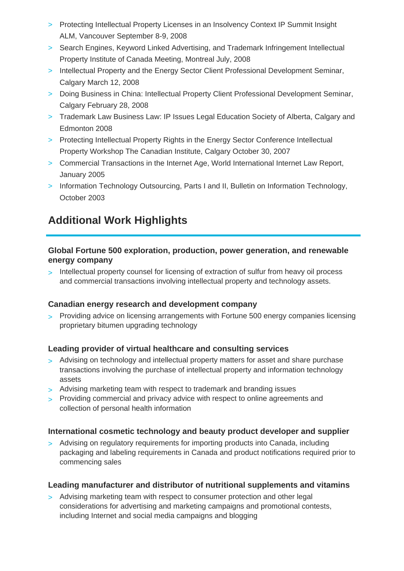- > Protecting Intellectual Property Licenses in an Insolvency Context IP Summit Insight ALM, Vancouver September 8-9, 2008
- > Search Engines, Keyword Linked Advertising, and Trademark Infringement Intellectual Property Institute of Canada Meeting, Montreal July, 2008
- > Intellectual Property and the Energy Sector Client Professional Development Seminar, Calgary March 12, 2008
- > Doing Business in China: Intellectual Property Client Professional Development Seminar, Calgary February 28, 2008
- > Trademark Law Business Law: IP Issues Legal Education Society of Alberta, Calgary and Edmonton 2008
- > Protecting Intellectual Property Rights in the Energy Sector Conference Intellectual Property Workshop The Canadian Institute, Calgary October 30, 2007
- > Commercial Transactions in the Internet Age, World International Internet Law Report, January 2005
- > Information Technology Outsourcing, Parts I and II, Bulletin on Information Technology, October 2003

# **Additional Work Highlights**

# **Global Fortune 500 exploration, production, power generation, and renewable energy company**

> Intellectual property counsel for licensing of extraction of sulfur from heavy oil process and commercial transactions involving intellectual property and technology assets.

# **Canadian energy research and development company**

> Providing advice on licensing arrangements with Fortune 500 energy companies licensing proprietary bitumen upgrading technology

# **Leading provider of virtual healthcare and consulting services**

- > Advising on technology and intellectual property matters for asset and share purchase transactions involving the purchase of intellectual property and information technology assets
- > Advising marketing team with respect to trademark and branding issues
- > Providing commercial and privacy advice with respect to online agreements and collection of personal health information

# **International cosmetic technology and beauty product developer and supplier**

> Advising on regulatory requirements for importing products into Canada, including packaging and labeling requirements in Canada and product notifications required prior to commencing sales

# **Leading manufacturer and distributor of nutritional supplements and vitamins**

> Advising marketing team with respect to consumer protection and other legal considerations for advertising and marketing campaigns and promotional contests, including Internet and social media campaigns and blogging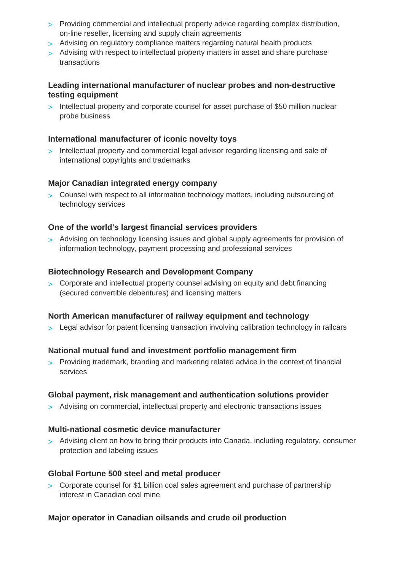- > Providing commercial and intellectual property advice regarding complex distribution, on-line reseller, licensing and supply chain agreements
- > Advising on regulatory compliance matters regarding natural health products
- > Advising with respect to intellectual property matters in asset and share purchase transactions

# **Leading international manufacturer of nuclear probes and non-destructive testing equipment**

> Intellectual property and corporate counsel for asset purchase of \$50 million nuclear probe business

# **International manufacturer of iconic novelty toys**

> Intellectual property and commercial legal advisor regarding licensing and sale of international copyrights and trademarks

# **Major Canadian integrated energy company**

> Counsel with respect to all information technology matters, including outsourcing of technology services

# **One of the world's largest financial services providers**

> Advising on technology licensing issues and global supply agreements for provision of information technology, payment processing and professional services

# **Biotechnology Research and Development Company**

> Corporate and intellectual property counsel advising on equity and debt financing (secured convertible debentures) and licensing matters

# **North American manufacturer of railway equipment and technology**

> Legal advisor for patent licensing transaction involving calibration technology in railcars

# **National mutual fund and investment portfolio management firm**

> Providing trademark, branding and marketing related advice in the context of financial services

# **Global payment, risk management and authentication solutions provider**

> Advising on commercial, intellectual property and electronic transactions issues

# **Multi-national cosmetic device manufacturer**

> Advising client on how to bring their products into Canada, including regulatory, consumer protection and labeling issues

# **Global Fortune 500 steel and metal producer**

> Corporate counsel for \$1 billion coal sales agreement and purchase of partnership interest in Canadian coal mine

# **Major operator in Canadian oilsands and crude oil production**